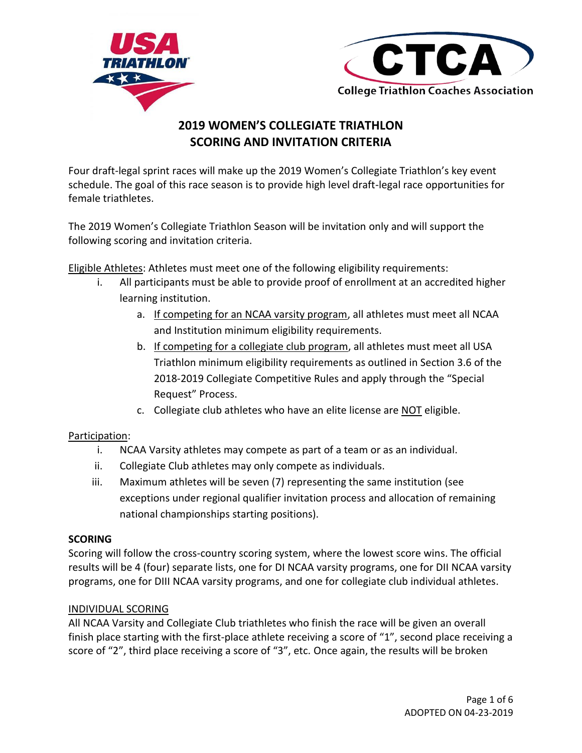



# **2019 WOMEN'S COLLEGIATE TRIATHLON SCORING AND INVITATION CRITERIA**

Four draft-legal sprint races will make up the 2019 Women's Collegiate Triathlon's key event schedule. The goal of this race season is to provide high level draft-legal race opportunities for female triathletes.

The 2019 Women's Collegiate Triathlon Season will be invitation only and will support the following scoring and invitation criteria.

Eligible Athletes: Athletes must meet one of the following eligibility requirements:

- i. All participants must be able to provide proof of enrollment at an accredited higher learning institution.
	- a. If competing for an NCAA varsity program, all athletes must meet all NCAA and Institution minimum eligibility requirements.
	- b. If competing for a collegiate club program, all athletes must meet all USA Triathlon minimum eligibility requirements as outlined in Section 3.6 of the 2018-2019 Collegiate Competitive Rules and apply through the "Special Request" Process.
	- c. Collegiate club athletes who have an elite license are NOT eligible.

# Participation:

- i. NCAA Varsity athletes may compete as part of a team or as an individual.
- ii. Collegiate Club athletes may only compete as individuals.
- iii. Maximum athletes will be seven (7) representing the same institution (see exceptions under regional qualifier invitation process and allocation of remaining national championships starting positions).

# **SCORING**

Scoring will follow the cross-country scoring system, where the lowest score wins. The official results will be 4 (four) separate lists, one for DI NCAA varsity programs, one for DII NCAA varsity programs, one for DIII NCAA varsity programs, and one for collegiate club individual athletes.

# INDIVIDUAL SCORING

All NCAA Varsity and Collegiate Club triathletes who finish the race will be given an overall finish place starting with the first-place athlete receiving a score of "1", second place receiving a score of "2", third place receiving a score of "3", etc. Once again, the results will be broken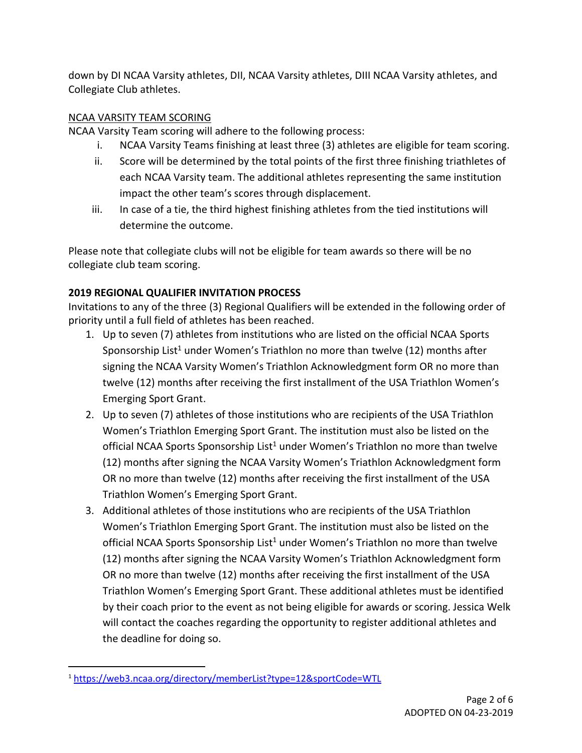down by DI NCAA Varsity athletes, DII, NCAA Varsity athletes, DIII NCAA Varsity athletes, and Collegiate Club athletes.

# NCAA VARSITY TEAM SCORING

NCAA Varsity Team scoring will adhere to the following process:

- i. NCAA Varsity Teams finishing at least three (3) athletes are eligible for team scoring.
- ii. Score will be determined by the total points of the first three finishing triathletes of each NCAA Varsity team. The additional athletes representing the same institution impact the other team's scores through displacement.
- iii. In case of a tie, the third highest finishing athletes from the tied institutions will determine the outcome.

Please note that collegiate clubs will not be eligible for team awards so there will be no collegiate club team scoring.

# **2019 REGIONAL QUALIFIER INVITATION PROCESS**

Invitations to any of the three (3) Regional Qualifiers will be extended in the following order of priority until a full field of athletes has been reached.

- 1. Up to seven (7) athletes from institutions who are listed on the official NCAA Sports Sponsorship List<sup>1</sup> under Women's Triathlon no more than twelve (12) months after signing the NCAA Varsity Women's Triathlon Acknowledgment form OR no more than twelve (12) months after receiving the first installment of the USA Triathlon Women's Emerging Sport Grant.
- 2. Up to seven (7) athletes of those institutions who are recipients of the USA Triathlon Women's Triathlon Emerging Sport Grant. The institution must also be listed on the official NCAA Sports Sponsorship List<sup>1</sup> under Women's Triathlon no more than twelve (12) months after signing the NCAA Varsity Women's Triathlon Acknowledgment form OR no more than twelve (12) months after receiving the first installment of the USA Triathlon Women's Emerging Sport Grant.
- 3. Additional athletes of those institutions who are recipients of the USA Triathlon Women's Triathlon Emerging Sport Grant. The institution must also be listed on the official NCAA Sports Sponsorship List<sup>1</sup> under Women's Triathlon no more than twelve (12) months after signing the NCAA Varsity Women's Triathlon Acknowledgment form OR no more than twelve (12) months after receiving the first installment of the USA Triathlon Women's Emerging Sport Grant. These additional athletes must be identified by their coach prior to the event as not being eligible for awards or scoring. Jessica Welk will contact the coaches regarding the opportunity to register additional athletes and the deadline for doing so.

 $\overline{\phantom{a}}$ <sup>1</sup> <https://web3.ncaa.org/directory/memberList?type=12&sportCode=WTL>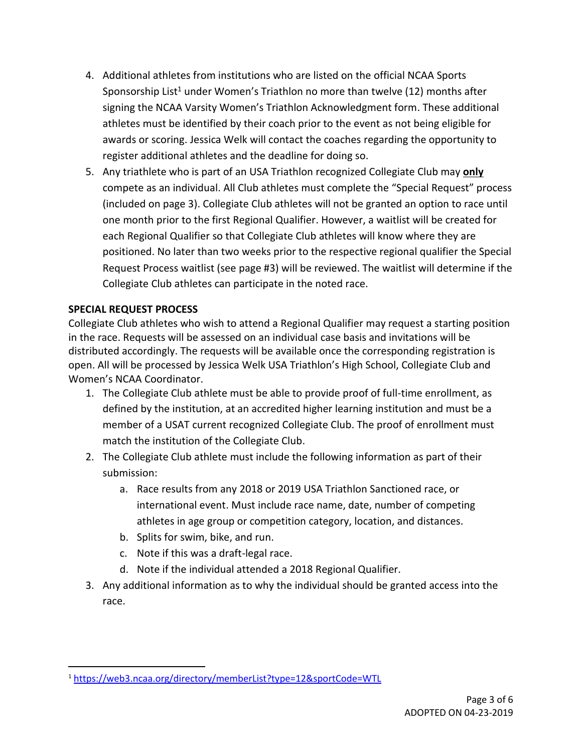- 4. Additional athletes from institutions who are listed on the official NCAA Sports Sponsorship List<sup>1</sup> under Women's Triathlon no more than twelve (12) months after signing the NCAA Varsity Women's Triathlon Acknowledgment form. These additional athletes must be identified by their coach prior to the event as not being eligible for awards or scoring. Jessica Welk will contact the coaches regarding the opportunity to register additional athletes and the deadline for doing so.
- 5. Any triathlete who is part of an USA Triathlon recognized Collegiate Club may **only** compete as an individual. All Club athletes must complete the "Special Request" process (included on page 3). Collegiate Club athletes will not be granted an option to race until one month prior to the first Regional Qualifier. However, a waitlist will be created for each Regional Qualifier so that Collegiate Club athletes will know where they are positioned. No later than two weeks prior to the respective regional qualifier the Special Request Process waitlist (see page #3) will be reviewed. The waitlist will determine if the Collegiate Club athletes can participate in the noted race.

### **SPECIAL REQUEST PROCESS**

 $\overline{\phantom{a}}$ 

Collegiate Club athletes who wish to attend a Regional Qualifier may request a starting position in the race. Requests will be assessed on an individual case basis and invitations will be distributed accordingly. The requests will be available once the corresponding registration is open. All will be processed by Jessica Welk USA Triathlon's High School, Collegiate Club and Women's NCAA Coordinator.

- 1. The Collegiate Club athlete must be able to provide proof of full-time enrollment, as defined by the institution, at an accredited higher learning institution and must be a member of a USAT current recognized Collegiate Club. The proof of enrollment must match the institution of the Collegiate Club.
- 2. The Collegiate Club athlete must include the following information as part of their submission:
	- a. Race results from any 2018 or 2019 USA Triathlon Sanctioned race, or international event. Must include race name, date, number of competing athletes in age group or competition category, location, and distances.
	- b. Splits for swim, bike, and run.
	- c. Note if this was a draft-legal race.
	- d. Note if the individual attended a 2018 Regional Qualifier.
- 3. Any additional information as to why the individual should be granted access into the race.

<sup>1</sup> <https://web3.ncaa.org/directory/memberList?type=12&sportCode=WTL>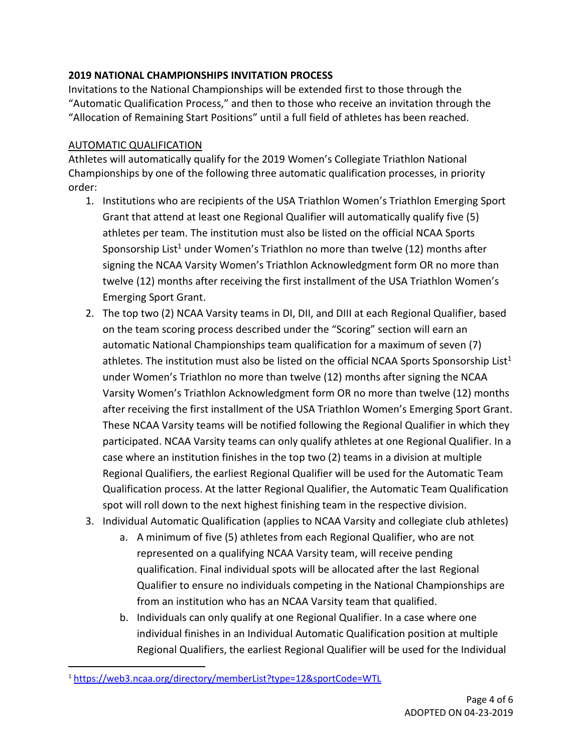### **2019 NATIONAL CHAMPIONSHIPS INVITATION PROCESS**

Invitations to the National Championships will be extended first to those through the "Automatic Qualification Process," and then to those who receive an invitation through the "Allocation of Remaining Start Positions" until a full field of athletes has been reached.

### AUTOMATIC QUALIFICATION

Athletes will automatically qualify for the 2019 Women's Collegiate Triathlon National Championships by one of the following three automatic qualification processes, in priority order:

- 1. Institutions who are recipients of the USA Triathlon Women's Triathlon Emerging Sport Grant that attend at least one Regional Qualifier will automatically qualify five (5) athletes per team. The institution must also be listed on the official NCAA Sports Sponsorship List<sup>1</sup> under Women's Triathlon no more than twelve (12) months after signing the NCAA Varsity Women's Triathlon Acknowledgment form OR no more than twelve (12) months after receiving the first installment of the USA Triathlon Women's Emerging Sport Grant.
- 2. The top two (2) NCAA Varsity teams in DI, DII, and DIII at each Regional Qualifier, based on the team scoring process described under the "Scoring" section will earn an automatic National Championships team qualification for a maximum of seven (7) athletes. The institution must also be listed on the official NCAA Sports Sponsorship List<sup>1</sup> under Women's Triathlon no more than twelve (12) months after signing the NCAA Varsity Women's Triathlon Acknowledgment form OR no more than twelve (12) months after receiving the first installment of the USA Triathlon Women's Emerging Sport Grant. These NCAA Varsity teams will be notified following the Regional Qualifier in which they participated. NCAA Varsity teams can only qualify athletes at one Regional Qualifier. In a case where an institution finishes in the top two (2) teams in a division at multiple Regional Qualifiers, the earliest Regional Qualifier will be used for the Automatic Team Qualification process. At the latter Regional Qualifier, the Automatic Team Qualification spot will roll down to the next highest finishing team in the respective division.
- 3. Individual Automatic Qualification (applies to NCAA Varsity and collegiate club athletes)
	- a. A minimum of five (5) athletes from each Regional Qualifier, who are not represented on a qualifying NCAA Varsity team, will receive pending qualification. Final individual spots will be allocated after the last Regional Qualifier to ensure no individuals competing in the National Championships are from an institution who has an NCAA Varsity team that qualified.
	- b. Individuals can only qualify at one Regional Qualifier. In a case where one individual finishes in an Individual Automatic Qualification position at multiple Regional Qualifiers, the earliest Regional Qualifier will be used for the Individual

 $\overline{\phantom{a}}$ 

<sup>1</sup> <https://web3.ncaa.org/directory/memberList?type=12&sportCode=WTL>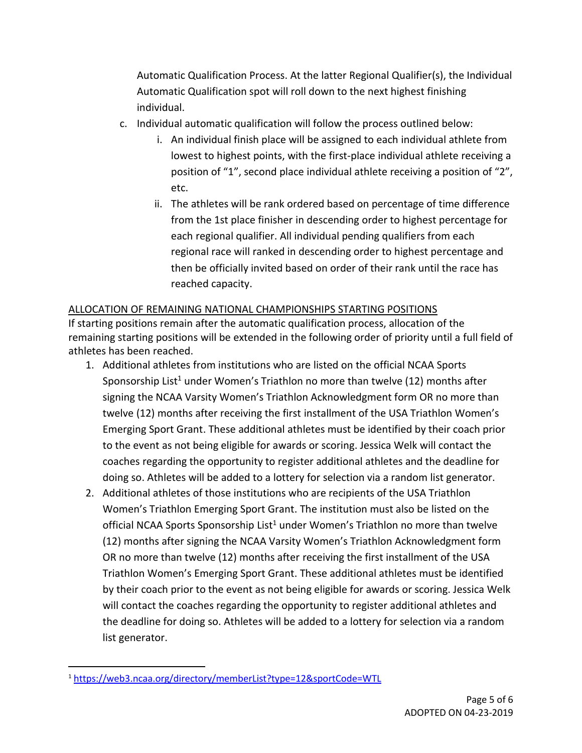Automatic Qualification Process. At the latter Regional Qualifier(s), the Individual Automatic Qualification spot will roll down to the next highest finishing individual.

- c. Individual automatic qualification will follow the process outlined below:
	- i. An individual finish place will be assigned to each individual athlete from lowest to highest points, with the first-place individual athlete receiving a position of "1", second place individual athlete receiving a position of "2", etc.
	- ii. The athletes will be rank ordered based on percentage of time difference from the 1st place finisher in descending order to highest percentage for each regional qualifier. All individual pending qualifiers from each regional race will ranked in descending order to highest percentage and then be officially invited based on order of their rank until the race has reached capacity.

# ALLOCATION OF REMAINING NATIONAL CHAMPIONSHIPS STARTING POSITIONS

If starting positions remain after the automatic qualification process, allocation of the remaining starting positions will be extended in the following order of priority until a full field of athletes has been reached.

- 1. Additional athletes from institutions who are listed on the official NCAA Sports Sponsorship List<sup>1</sup> under Women's Triathlon no more than twelve (12) months after signing the NCAA Varsity Women's Triathlon Acknowledgment form OR no more than twelve (12) months after receiving the first installment of the USA Triathlon Women's Emerging Sport Grant. These additional athletes must be identified by their coach prior to the event as not being eligible for awards or scoring. Jessica Welk will contact the coaches regarding the opportunity to register additional athletes and the deadline for doing so. Athletes will be added to a lottery for selection via a random list generator.
- 2. Additional athletes of those institutions who are recipients of the USA Triathlon Women's Triathlon Emerging Sport Grant. The institution must also be listed on the official NCAA Sports Sponsorship List<sup>1</sup> under Women's Triathlon no more than twelve (12) months after signing the NCAA Varsity Women's Triathlon Acknowledgment form OR no more than twelve (12) months after receiving the first installment of the USA Triathlon Women's Emerging Sport Grant. These additional athletes must be identified by their coach prior to the event as not being eligible for awards or scoring. Jessica Welk will contact the coaches regarding the opportunity to register additional athletes and the deadline for doing so. Athletes will be added to a lottery for selection via a random list generator.

 $\overline{\phantom{a}}$ 

<sup>1</sup> <https://web3.ncaa.org/directory/memberList?type=12&sportCode=WTL>